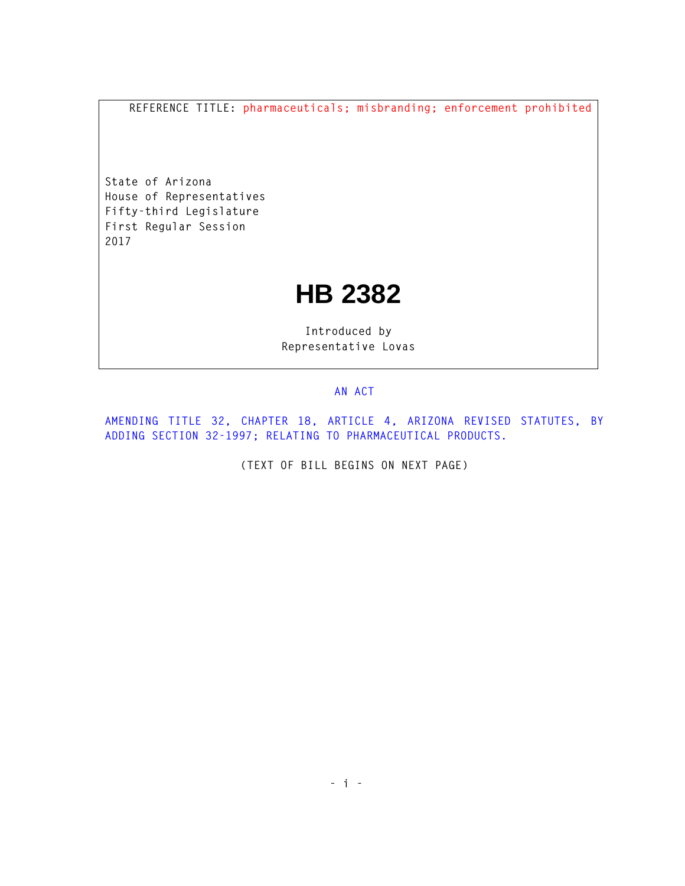**REFERENCE TITLE: pharmaceuticals; misbranding; enforcement prohibited** 

**State of Arizona House of Representatives Fifty-third Legislature First Regular Session 2017** 

## **HB 2382**

**Introduced by Representative Lovas** 

## **AN ACT**

**AMENDING TITLE 32, CHAPTER 18, ARTICLE 4, ARIZONA REVISED STATUTES, BY ADDING SECTION 32-1997; RELATING TO PHARMACEUTICAL PRODUCTS.** 

**(TEXT OF BILL BEGINS ON NEXT PAGE)**